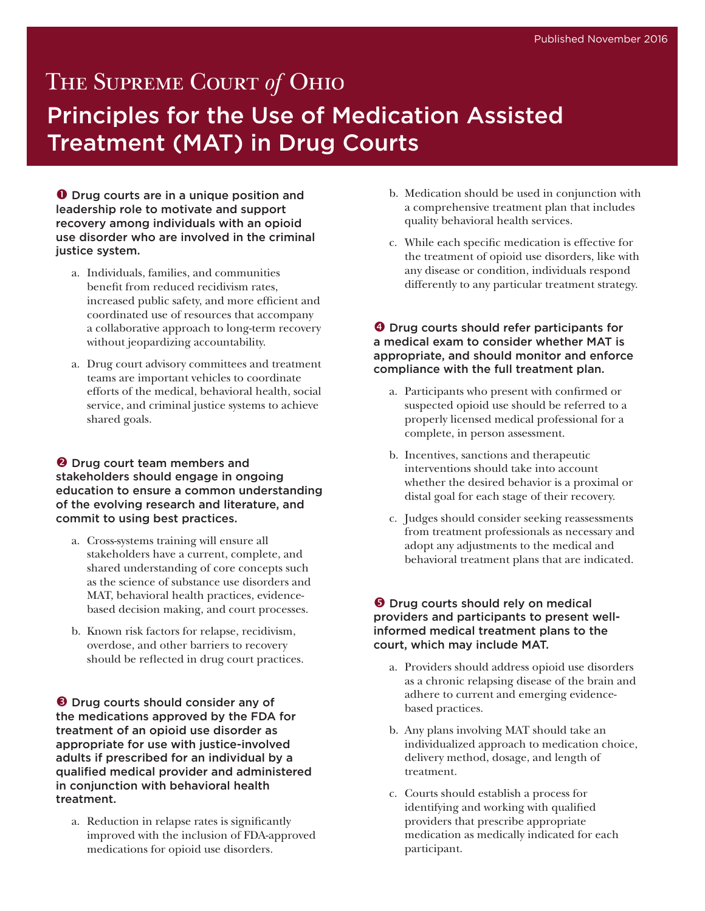# THE SUPREME COURT of OHIO Principles for the Use of Medication Assisted Treatment (MAT) in Drug Courts

**O** Drug courts are in a unique position and leadership role to motivate and support recovery among individuals with an opioid use disorder who are involved in the criminal justice system.

- a. Individuals, families, and communities benefit from reduced recidivism rates, increased public safety, and more efficient and coordinated use of resources that accompany a collaborative approach to long-term recovery without jeopardizing accountability.
- a. Drug court advisory committees and treatment teams are important vehicles to coordinate efforts of the medical, behavioral health, social service, and criminal justice systems to achieve shared goals.

#### $\Theta$  Drug court team members and stakeholders should engage in ongoing education to ensure a common understanding of the evolving research and literature, and commit to using best practices.

- a. Cross-systems training will ensure all stakeholders have a current, complete, and shared understanding of core concepts such as the science of substance use disorders and MAT, behavioral health practices, evidencebased decision making, and court processes.
- b. Known risk factors for relapse, recidivism, overdose, and other barriers to recovery should be reflected in drug court practices.

**O** Drug courts should consider any of the medications approved by the FDA for treatment of an opioid use disorder as appropriate for use with justice-involved adults if prescribed for an individual by a qualified medical provider and administered in conjunction with behavioral health treatment.

a. Reduction in relapse rates is significantly improved with the inclusion of FDA-approved medications for opioid use disorders.

- b. Medication should be used in conjunction with a comprehensive treatment plan that includes quality behavioral health services.
- c. While each specific medication is effective for the treatment of opioid use disorders, like with any disease or condition, individuals respond differently to any particular treatment strategy.

#### **O** Drug courts should refer participants for a medical exam to consider whether MAT is appropriate, and should monitor and enforce compliance with the full treatment plan.

- a. Participants who present with confirmed or suspected opioid use should be referred to a properly licensed medical professional for a complete, in person assessment.
- b. Incentives, sanctions and therapeutic interventions should take into account whether the desired behavior is a proximal or distal goal for each stage of their recovery.
- c. Judges should consider seeking reassessments from treatment professionals as necessary and adopt any adjustments to the medical and behavioral treatment plans that are indicated.

#### **O** Drug courts should rely on medical providers and participants to present wellinformed medical treatment plans to the court, which may include MAT.

- a. Providers should address opioid use disorders as a chronic relapsing disease of the brain and adhere to current and emerging evidencebased practices.
- b. Any plans involving MAT should take an individualized approach to medication choice, delivery method, dosage, and length of treatment.
- c. Courts should establish a process for identifying and working with qualified providers that prescribe appropriate medication as medically indicated for each participant.